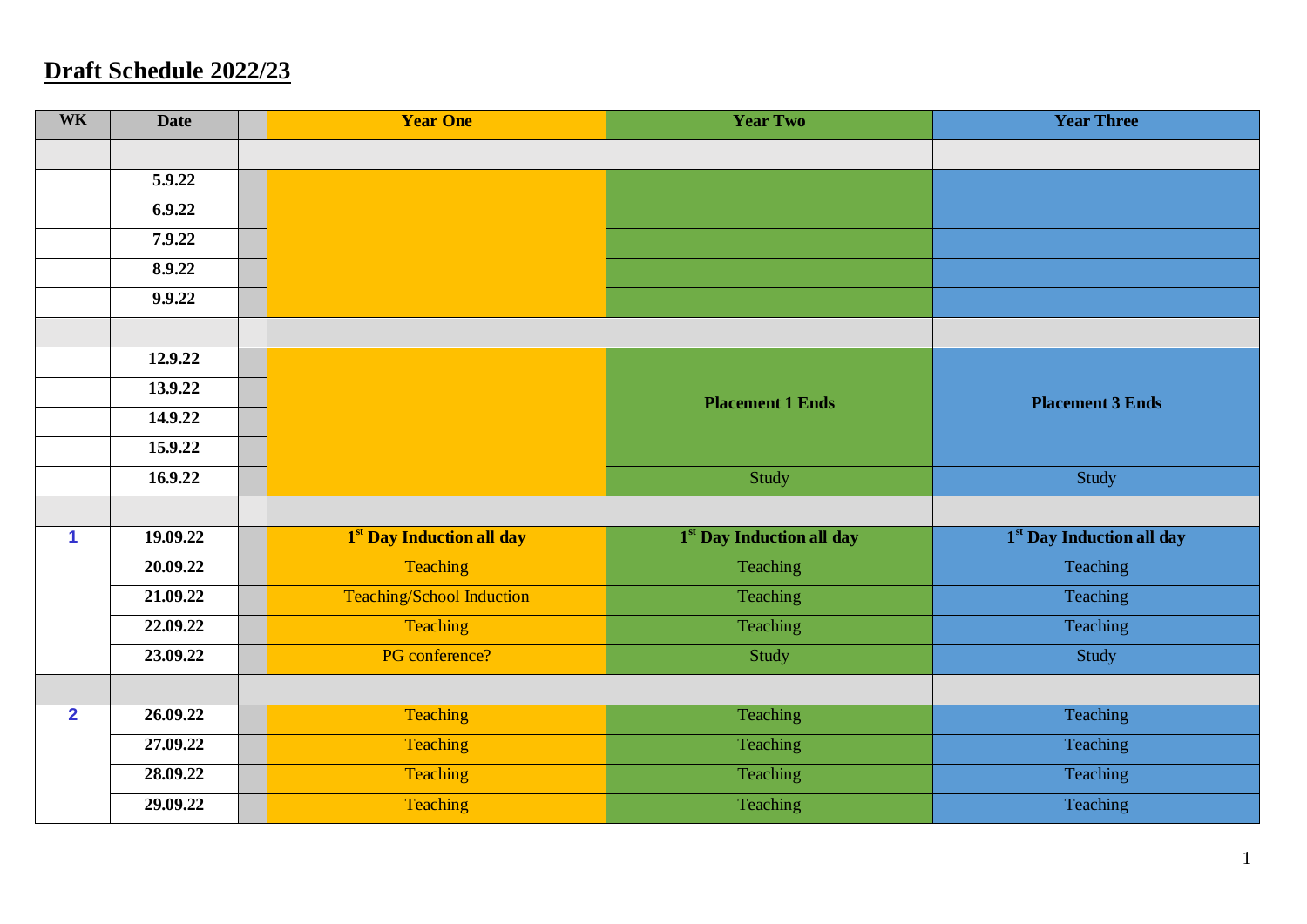## **Draft Schedule 2022/23**

| <b>WK</b>      | <b>Date</b>           | <b>Year One</b>                  | <b>Year Two</b>           | <b>Year Three</b>         |
|----------------|-----------------------|----------------------------------|---------------------------|---------------------------|
|                |                       |                                  |                           |                           |
|                | 5.9.22                |                                  |                           |                           |
|                | 6.9.22                |                                  |                           |                           |
|                | 7.9.22                |                                  |                           |                           |
|                | 8.9.22                |                                  |                           |                           |
|                | 9.9.22                |                                  |                           |                           |
|                |                       |                                  |                           |                           |
|                | 12.9.22               |                                  |                           |                           |
|                | 13.9.22               |                                  | <b>Placement 1 Ends</b>   | <b>Placement 3 Ends</b>   |
|                | 14.9.22               |                                  |                           |                           |
|                | 15.9.22               |                                  |                           |                           |
|                |                       |                                  |                           |                           |
|                | 16.9.22               |                                  | Study                     | Study                     |
|                |                       |                                  |                           |                           |
| $\mathbf{1}$   | 19.09.22              | 1st Day Induction all day        | 1st Day Induction all day | 1st Day Induction all day |
|                | 20.09.22              | Teaching                         | Teaching                  | Teaching                  |
|                | 21.09.22              | <b>Teaching/School Induction</b> | Teaching                  | Teaching                  |
|                | 22.09.22              | Teaching                         | Teaching                  | Teaching                  |
|                | 23.09.22              | PG conference?                   | Study                     | Study                     |
|                |                       |                                  |                           |                           |
| $\overline{2}$ | 26.09.22              | Teaching                         | Teaching                  | Teaching                  |
|                | 27.09.22              | Teaching                         | Teaching                  | Teaching                  |
|                | $\overline{28.09.22}$ | Teaching                         | Teaching                  | Teaching                  |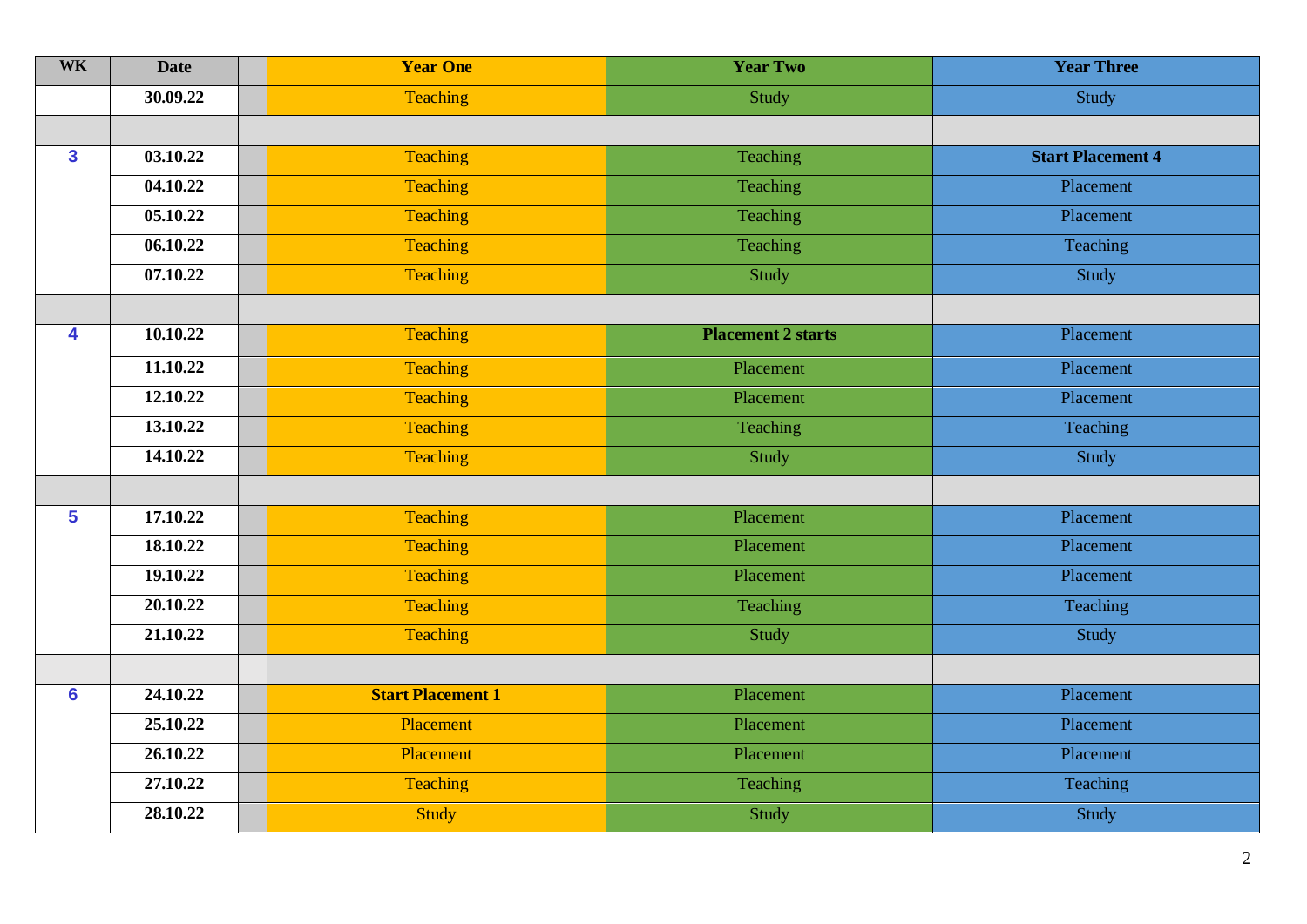| <b>WK</b>      | <b>Date</b> | <b>Year One</b>          | <b>Year Two</b>           | <b>Year Three</b>        |
|----------------|-------------|--------------------------|---------------------------|--------------------------|
|                | 30.09.22    | Teaching                 | Study                     | Study                    |
|                |             |                          |                           |                          |
| $\mathbf{3}$   | 03.10.22    | <b>Teaching</b>          | Teaching                  | <b>Start Placement 4</b> |
|                | 04.10.22    | Teaching                 | Teaching                  | Placement                |
|                | 05.10.22    | Teaching                 | Teaching                  | Placement                |
|                | 06.10.22    | <b>Teaching</b>          | Teaching                  | Teaching                 |
|                | 07.10.22    | Teaching                 | Study                     | Study                    |
|                |             |                          |                           |                          |
| 4              | 10.10.22    | Teaching                 | <b>Placement 2 starts</b> | Placement                |
|                | 11.10.22    | <b>Teaching</b>          | Placement                 | Placement                |
|                | 12.10.22    | <b>Teaching</b>          | Placement                 | Placement                |
|                | 13.10.22    | <b>Teaching</b>          | Teaching                  | Teaching                 |
|                | 14.10.22    | Teaching                 | Study                     | Study                    |
|                |             |                          |                           |                          |
| 5 <sup>5</sup> | 17.10.22    | Teaching                 | Placement                 | Placement                |
|                | 18.10.22    | <b>Teaching</b>          | Placement                 | Placement                |
|                | 19.10.22    | <b>Teaching</b>          | Placement                 | Placement                |
|                | 20.10.22    | <b>Teaching</b>          | Teaching                  | Teaching                 |
|                | 21.10.22    | <b>Teaching</b>          | Study                     | Study                    |
|                |             |                          |                           |                          |
| $6\phantom{a}$ | 24.10.22    | <b>Start Placement 1</b> | Placement                 | Placement                |
|                | 25.10.22    | Placement                | Placement                 | Placement                |
|                | 26.10.22    | Placement                | Placement                 | Placement                |
|                | 27.10.22    | Teaching                 | Teaching                  | Teaching                 |
|                | 28.10.22    | <b>Study</b>             | Study                     | Study                    |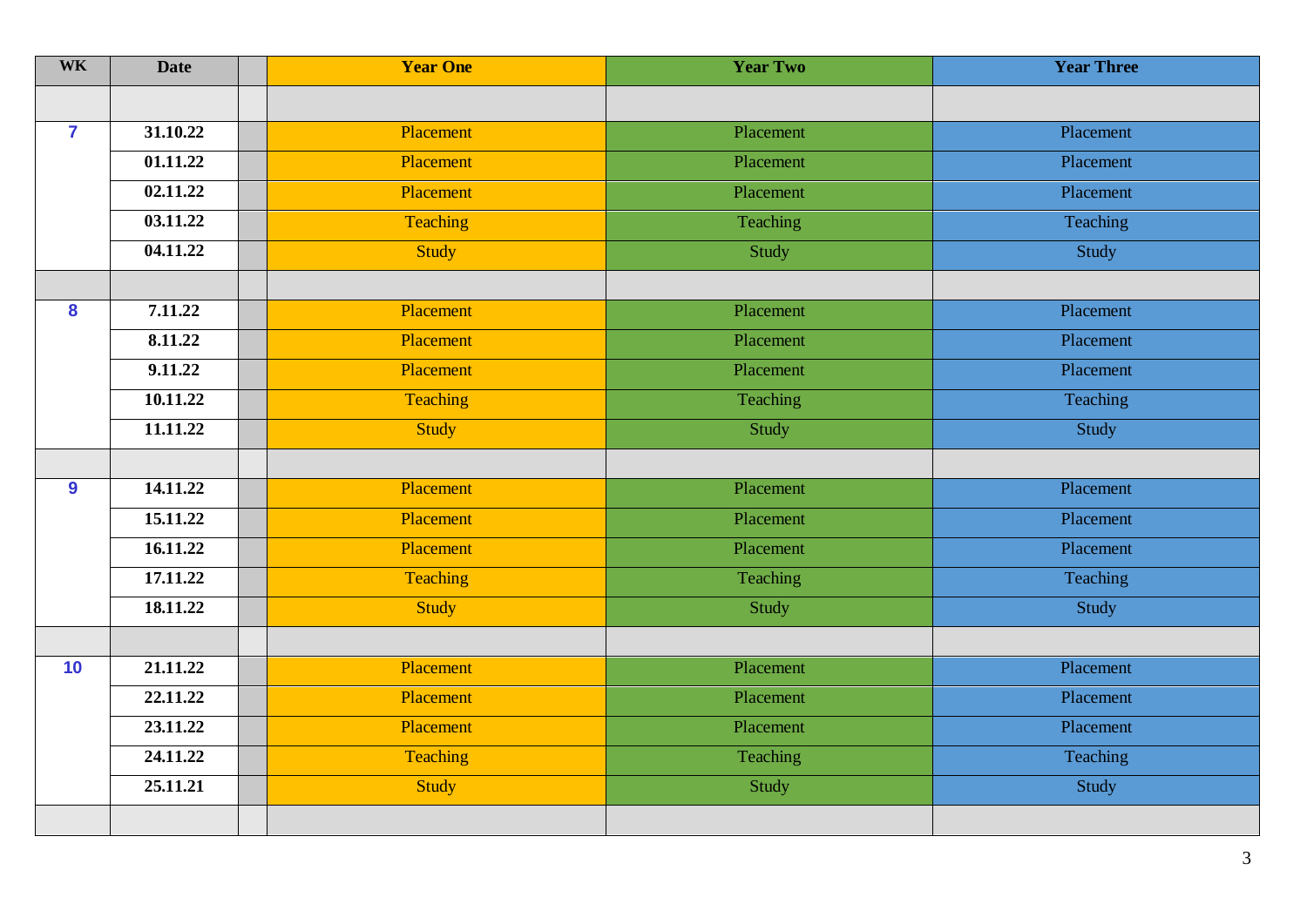| <b>WK</b>        | <b>Date</b> | <b>Year One</b> | <b>Year Two</b> | <b>Year Three</b> |
|------------------|-------------|-----------------|-----------------|-------------------|
|                  |             |                 |                 |                   |
| $\overline{7}$   | 31.10.22    | Placement       | Placement       | Placement         |
|                  | 01.11.22    | Placement       | Placement       | Placement         |
|                  | 02.11.22    | Placement       | Placement       | Placement         |
|                  | 03.11.22    | Teaching        | Teaching        | Teaching          |
|                  | 04.11.22    | <b>Study</b>    | Study           | Study             |
|                  |             |                 |                 |                   |
| 8                | 7.11.22     | Placement       | Placement       | Placement         |
|                  | 8.11.22     | Placement       | Placement       | Placement         |
|                  | 9.11.22     | Placement       | Placement       | Placement         |
|                  | 10.11.22    | Teaching        | Teaching        | Teaching          |
|                  | 11.11.22    | Study           | Study           | Study             |
|                  |             |                 |                 |                   |
| $\boldsymbol{9}$ | 14.11.22    | Placement       | Placement       | Placement         |
|                  | 15.11.22    | Placement       | Placement       | Placement         |
|                  | 16.11.22    | Placement       | Placement       | Placement         |
|                  | 17.11.22    | Teaching        | Teaching        | Teaching          |
|                  | 18.11.22    | Study           | Study           | Study             |
|                  |             |                 |                 |                   |
| 10               | 21.11.22    | Placement       | Placement       | Placement         |
|                  | 22.11.22    | Placement       | Placement       | Placement         |
|                  | 23.11.22    | Placement       | Placement       | Placement         |
|                  | 24.11.22    | Teaching        | Teaching        | Teaching          |
|                  | 25.11.21    | Study           | Study           | Study             |
|                  |             |                 |                 |                   |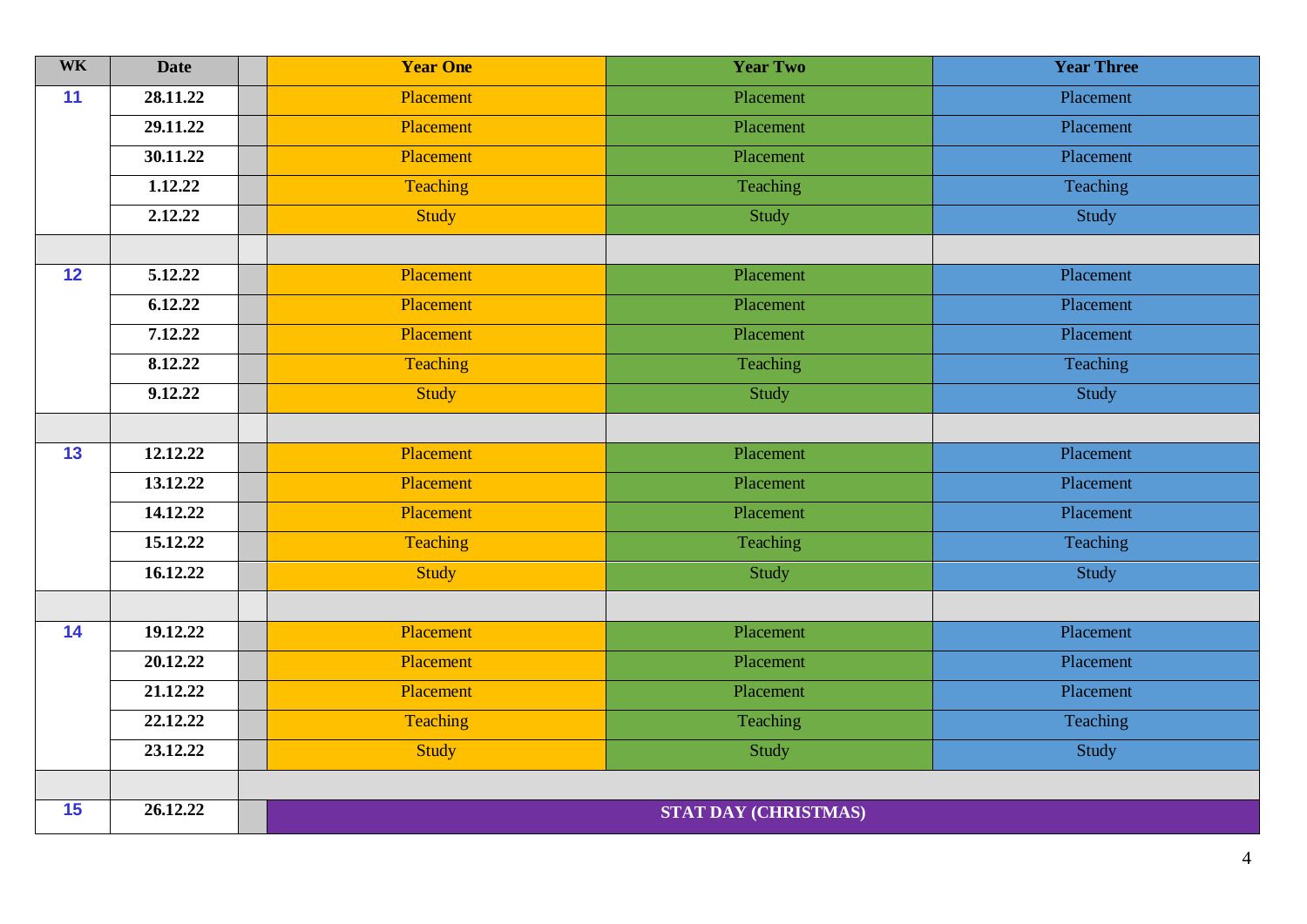| <b>WK</b> | <b>Date</b> | <b>Year One</b>  | <b>Year Two</b>             | <b>Year Three</b> |
|-----------|-------------|------------------|-----------------------------|-------------------|
| 11        | 28.11.22    | <b>Placement</b> | Placement                   | Placement         |
|           | 29.11.22    | Placement        | Placement                   | Placement         |
|           | 30.11.22    | Placement        | Placement                   | Placement         |
|           | 1.12.22     | Teaching         | Teaching                    | Teaching          |
|           | 2.12.22     | <b>Study</b>     | Study                       | Study             |
|           |             |                  |                             |                   |
| 12        | 5.12.22     | Placement        | Placement                   | Placement         |
|           | 6.12.22     | Placement        | Placement                   | Placement         |
|           | 7.12.22     | Placement        | Placement                   | Placement         |
|           | 8.12.22     | Teaching         | Teaching                    | Teaching          |
|           | 9.12.22     | <b>Study</b>     | Study                       | Study             |
|           |             |                  |                             |                   |
| 13        | 12.12.22    | Placement        | Placement                   | Placement         |
|           | 13.12.22    | Placement        | Placement                   | Placement         |
|           | 14.12.22    | Placement        | Placement                   | Placement         |
|           | 15.12.22    | <b>Teaching</b>  | Teaching                    | Teaching          |
|           | 16.12.22    | Study            | Study                       | Study             |
|           |             |                  |                             |                   |
| 14        | 19.12.22    | Placement        | Placement                   | Placement         |
|           | 20.12.22    | Placement        | Placement                   | Placement         |
|           | 21.12.22    | Placement        | Placement                   | Placement         |
|           | 22.12.22    | Teaching         | Teaching                    | Teaching          |
|           | 23.12.22    | <b>Study</b>     | Study                       | Study             |
|           |             |                  |                             |                   |
| 15        | 26.12.22    |                  | <b>STAT DAY (CHRISTMAS)</b> |                   |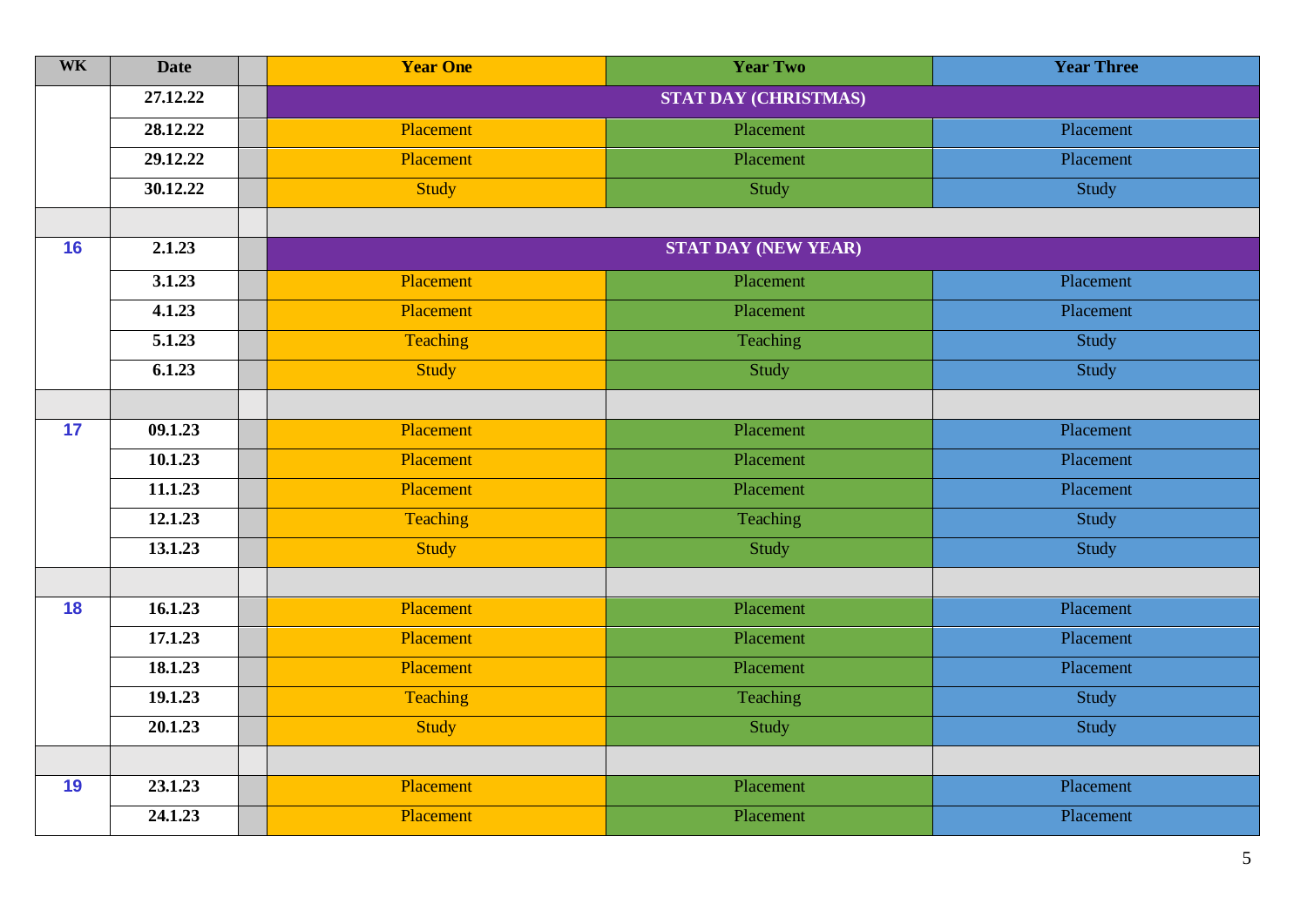| <b>WK</b> | <b>Date</b> | <b>Year One</b> | <b>Year Two</b>             | <b>Year Three</b> |
|-----------|-------------|-----------------|-----------------------------|-------------------|
|           | 27.12.22    |                 | <b>STAT DAY (CHRISTMAS)</b> |                   |
|           | 28.12.22    | Placement       | Placement                   | Placement         |
|           | 29.12.22    | Placement       | Placement                   | Placement         |
|           | 30.12.22    | Study           | Study                       | Study             |
|           |             |                 |                             |                   |
| 16        | 2.1.23      |                 | <b>STAT DAY (NEW YEAR)</b>  |                   |
|           | 3.1.23      | Placement       | Placement                   | Placement         |
|           | 4.1.23      | Placement       | Placement                   | Placement         |
|           | 5.1.23      | Teaching        | Teaching                    | Study             |
|           | 6.1.23      | Study           | Study                       | Study             |
|           |             |                 |                             |                   |
| 17        | 09.1.23     | Placement       | Placement                   | Placement         |
|           | 10.1.23     | Placement       | Placement                   | Placement         |
|           | 11.1.23     | Placement       | Placement                   | Placement         |
|           | 12.1.23     | Teaching        | Teaching                    | Study             |
|           | 13.1.23     | <b>Study</b>    | Study                       | Study             |
|           |             |                 |                             |                   |
| 18        | 16.1.23     | Placement       | Placement                   | Placement         |
|           | 17.1.23     | Placement       | Placement                   | Placement         |
|           | 18.1.23     | Placement       | Placement                   | Placement         |
|           | 19.1.23     | Teaching        | Teaching                    | Study             |
|           | 20.1.23     | Study           | Study                       | Study             |
|           |             |                 |                             |                   |
| 19        | 23.1.23     | Placement       | Placement                   | Placement         |
|           | 24.1.23     | Placement       | Placement                   | Placement         |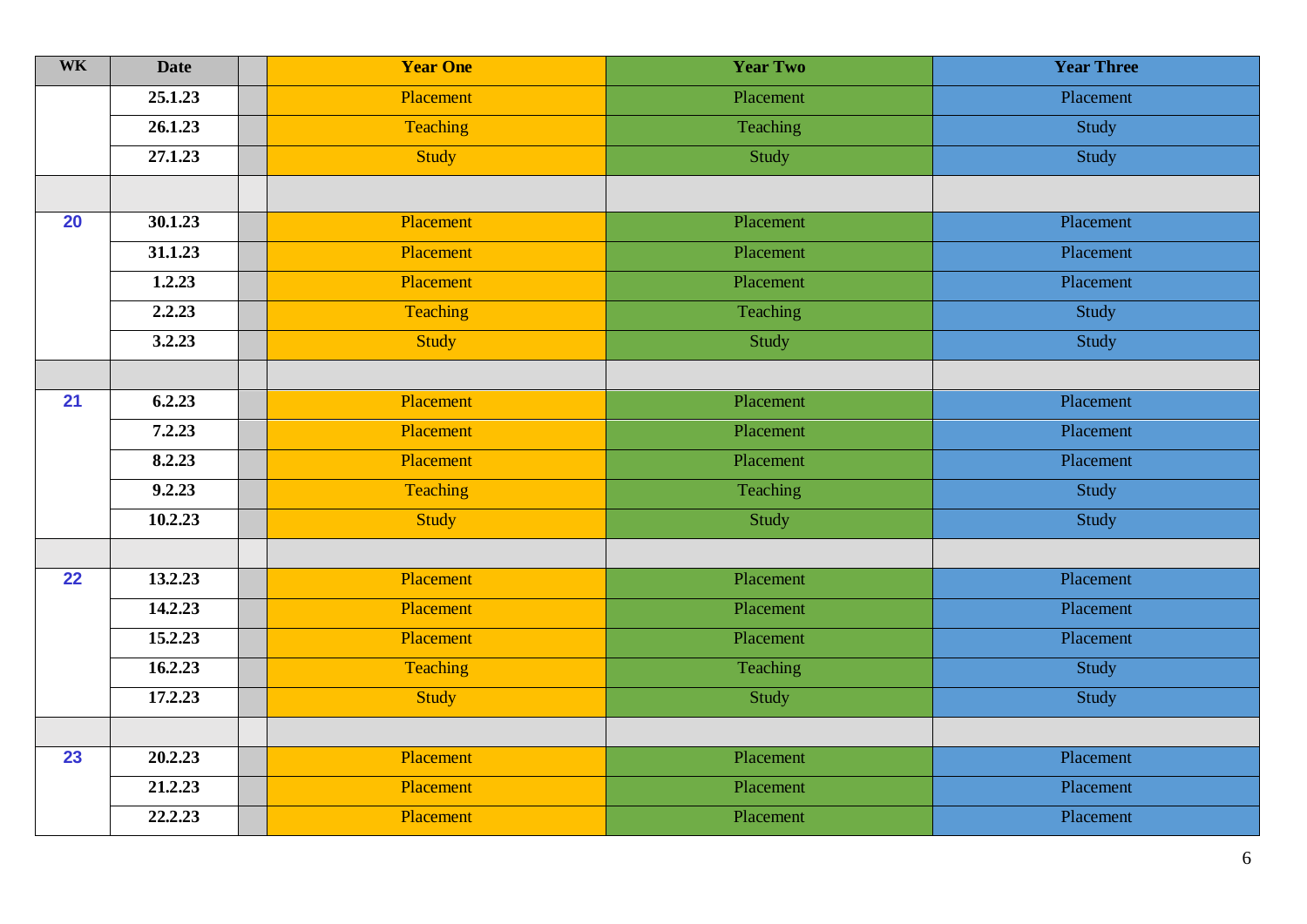| <b>WK</b> | <b>Date</b> | <b>Year One</b> | <b>Year Two</b> | <b>Year Three</b> |
|-----------|-------------|-----------------|-----------------|-------------------|
|           | 25.1.23     | Placement       | Placement       | Placement         |
|           | 26.1.23     | Teaching        | Teaching        | Study             |
|           | 27.1.23     | Study           | Study           | Study             |
|           |             |                 |                 |                   |
| 20        | 30.1.23     | Placement       | Placement       | Placement         |
|           | 31.1.23     | Placement       | Placement       | Placement         |
|           | 1.2.23      | Placement       | Placement       | Placement         |
|           | 2.2.23      | <b>Teaching</b> | Teaching        | Study             |
|           | 3.2.23      | <b>Study</b>    | Study           | Study             |
|           |             |                 |                 |                   |
| 21        | 6.2.23      | Placement       | Placement       | Placement         |
|           | 7.2.23      | Placement       | Placement       | Placement         |
|           | 8.2.23      | Placement       | Placement       | Placement         |
|           | 9.2.23      | Teaching        | Teaching        | Study             |
|           | 10.2.23     | Study           | Study           | Study             |
|           |             |                 |                 |                   |
| 22        | 13.2.23     | Placement       | Placement       | Placement         |
|           | 14.2.23     | Placement       | Placement       | Placement         |
|           | 15.2.23     | Placement       | Placement       | Placement         |
|           | 16.2.23     | Teaching        | Teaching        | Study             |
|           | 17.2.23     | <b>Study</b>    | Study           | Study             |
|           |             |                 |                 |                   |
| 23        | 20.2.23     | Placement       | Placement       | Placement         |
|           | 21.2.23     | Placement       | Placement       | Placement         |
|           | 22.2.23     | Placement       | Placement       | Placement         |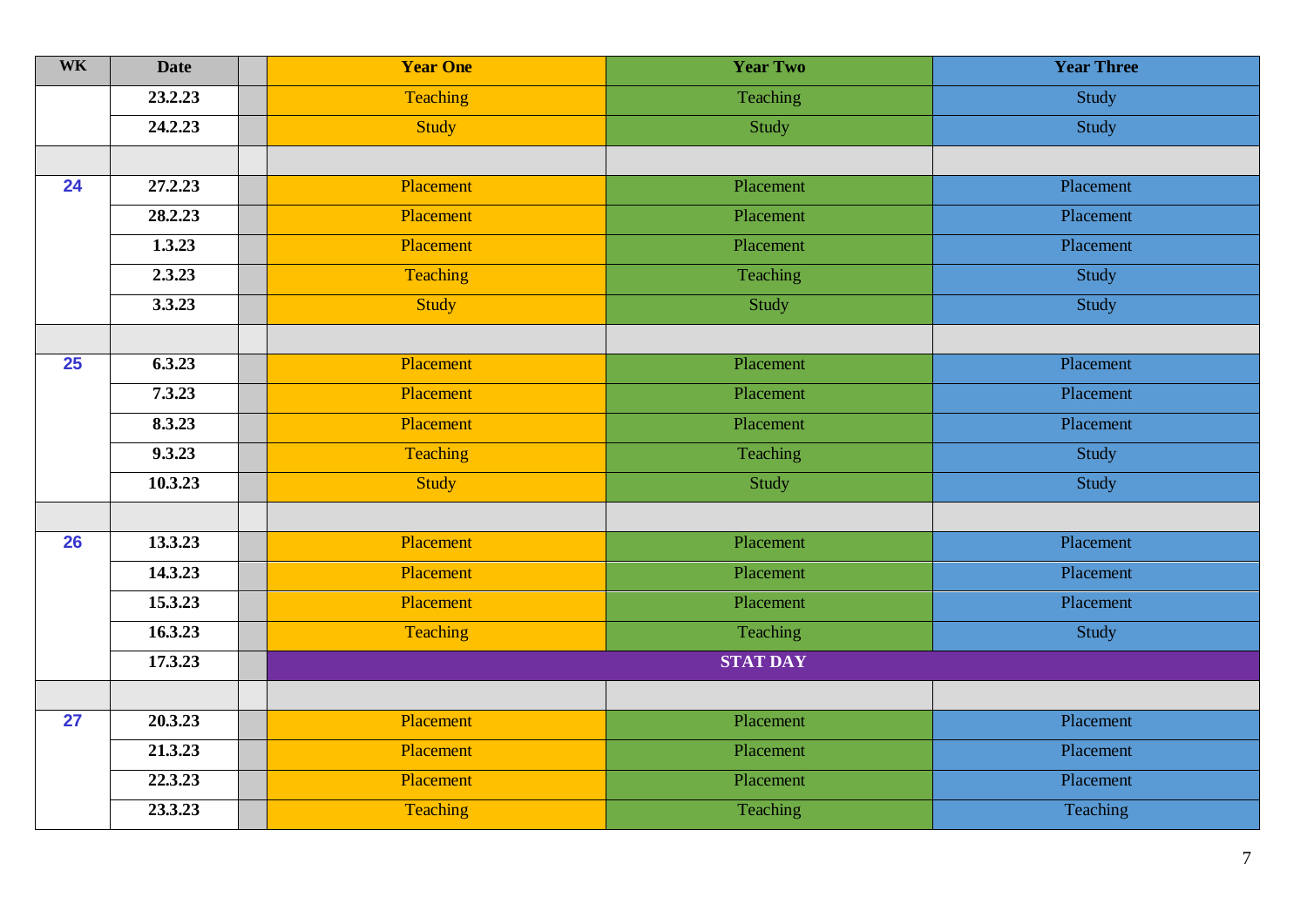| <b>WK</b> | <b>Date</b> | <b>Year One</b> | <b>Year Two</b> | <b>Year Three</b> |
|-----------|-------------|-----------------|-----------------|-------------------|
|           | 23.2.23     | Teaching        | Teaching        | Study             |
|           | 24.2.23     | <b>Study</b>    | Study           | Study             |
|           |             |                 |                 |                   |
| 24        | 27.2.23     | Placement       | Placement       | Placement         |
|           | 28.2.23     | Placement       | Placement       | Placement         |
|           | 1.3.23      | Placement       | Placement       | Placement         |
|           | 2.3.23      | Teaching        | Teaching        | Study             |
|           | 3.3.23      | <b>Study</b>    | Study           | Study             |
|           |             |                 |                 |                   |
| 25        | 6.3.23      | Placement       | Placement       | Placement         |
|           | 7.3.23      | Placement       | Placement       | Placement         |
|           | 8.3.23      | Placement       | Placement       | Placement         |
|           | 9.3.23      | <b>Teaching</b> | Teaching        | Study             |
|           | 10.3.23     | <b>Study</b>    | Study           | Study             |
|           |             |                 |                 |                   |
| 26        | 13.3.23     | Placement       | Placement       | Placement         |
|           | 14.3.23     | Placement       | Placement       | Placement         |
|           | 15.3.23     | Placement       | Placement       | Placement         |
|           | 16.3.23     | Teaching        | Teaching        | Study             |
|           | 17.3.23     |                 | <b>STAT DAY</b> |                   |
|           |             |                 |                 |                   |
| 27        | 20.3.23     | Placement       | Placement       | Placement         |
|           | 21.3.23     | Placement       | Placement       | Placement         |
|           | 22.3.23     | Placement       | Placement       | Placement         |
|           | 23.3.23     | Teaching        | Teaching        | Teaching          |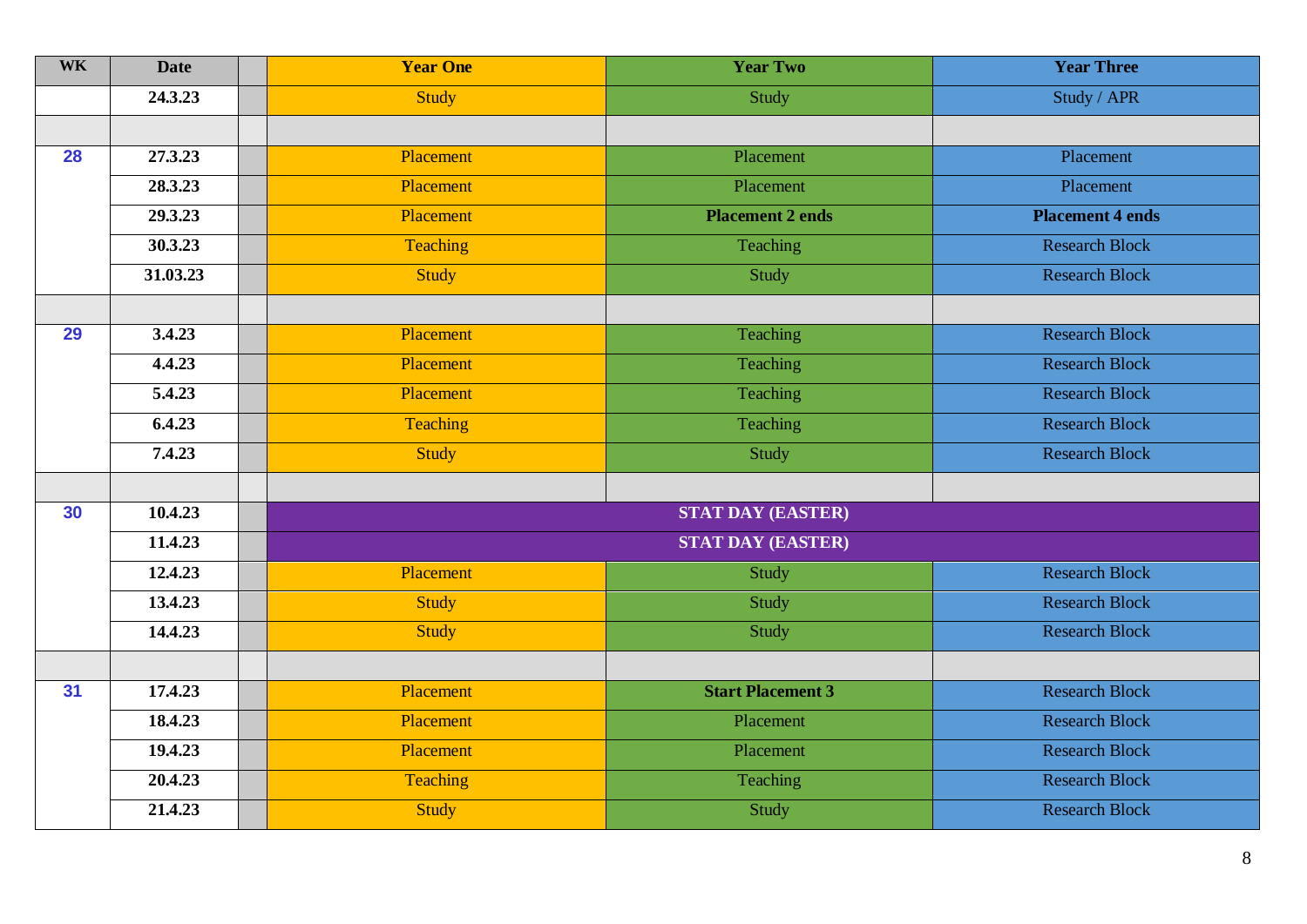| <b>WK</b> | <b>Date</b> | <b>Year One</b> | <b>Year Two</b>          | <b>Year Three</b>       |
|-----------|-------------|-----------------|--------------------------|-------------------------|
|           | 24.3.23     | <b>Study</b>    | Study                    | Study / APR             |
|           |             |                 |                          |                         |
| 28        | 27.3.23     | Placement       | Placement                | Placement               |
|           | 28.3.23     | Placement       | Placement                | Placement               |
|           | 29.3.23     | Placement       | <b>Placement 2 ends</b>  | <b>Placement 4 ends</b> |
|           | 30.3.23     | <b>Teaching</b> | Teaching                 | <b>Research Block</b>   |
|           | 31.03.23    | <b>Study</b>    | Study                    | <b>Research Block</b>   |
|           |             |                 |                          |                         |
| 29        | 3.4.23      | Placement       | Teaching                 | <b>Research Block</b>   |
|           | 4.4.23      | Placement       | Teaching                 | <b>Research Block</b>   |
|           | 5.4.23      | Placement       | Teaching                 | <b>Research Block</b>   |
|           | 6.4.23      | Teaching        | Teaching                 | <b>Research Block</b>   |
|           | 7.4.23      | <b>Study</b>    | Study                    | <b>Research Block</b>   |
|           |             |                 |                          |                         |
| 30        | 10.4.23     |                 | <b>STAT DAY (EASTER)</b> |                         |
|           | 11.4.23     |                 | <b>STAT DAY (EASTER)</b> |                         |
|           | 12.4.23     | Placement       | Study                    | <b>Research Block</b>   |
|           | 13.4.23     | <b>Study</b>    | Study                    | <b>Research Block</b>   |
|           | 14.4.23     | <b>Study</b>    | Study                    | <b>Research Block</b>   |
|           |             |                 |                          |                         |
| 31        | 17.4.23     | Placement       | <b>Start Placement 3</b> | Research Block          |
|           | 18.4.23     | Placement       | Placement                | <b>Research Block</b>   |
|           | 19.4.23     | Placement       | Placement                | <b>Research Block</b>   |
|           | 20.4.23     | Teaching        | Teaching                 | <b>Research Block</b>   |
|           | 21.4.23     | <b>Study</b>    | Study                    | <b>Research Block</b>   |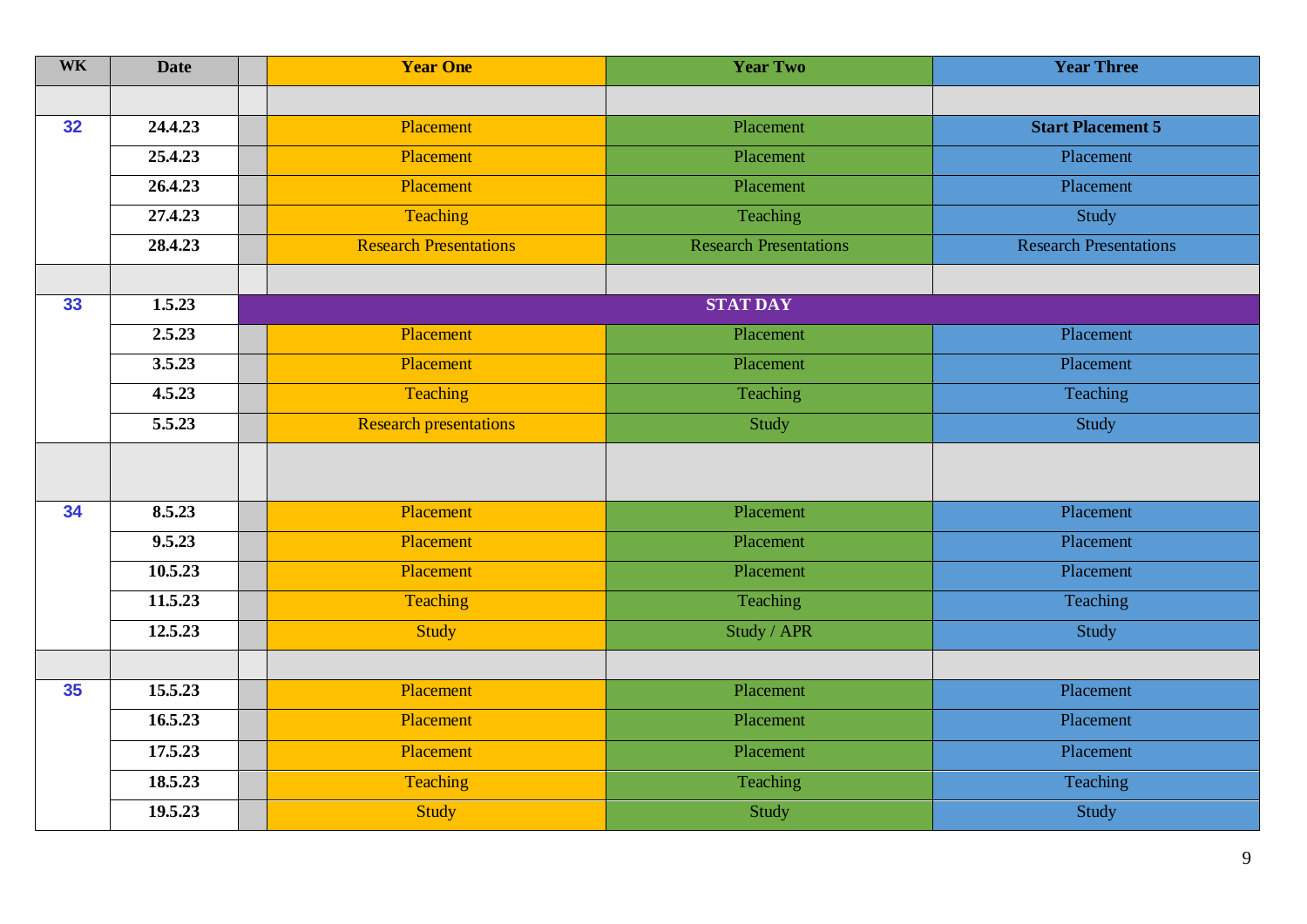| <b>WK</b> | <b>Date</b> | <b>Year One</b>               | <b>Year Two</b>               | <b>Year Three</b>             |
|-----------|-------------|-------------------------------|-------------------------------|-------------------------------|
|           |             |                               |                               |                               |
| 32        | 24.4.23     | Placement                     | Placement                     | <b>Start Placement 5</b>      |
|           | 25.4.23     | Placement                     | Placement                     | Placement                     |
|           | 26.4.23     | Placement                     | Placement                     | Placement                     |
|           | 27.4.23     | Teaching                      | Teaching                      | Study                         |
|           | 28.4.23     | <b>Research Presentations</b> | <b>Research Presentations</b> | <b>Research Presentations</b> |
|           |             |                               |                               |                               |
| 33        | 1.5.23      |                               | <b>STAT DAY</b>               |                               |
|           | 2.5.23      | Placement                     | Placement                     | Placement                     |
|           | 3.5.23      | Placement                     | Placement                     | Placement                     |
|           | 4.5.23      | Teaching                      | Teaching                      | Teaching                      |
|           | 5.5.23      | <b>Research presentations</b> | Study                         | Study                         |
|           |             |                               |                               |                               |
| 34        | 8.5.23      | Placement                     | Placement                     | Placement                     |
|           | 9.5.23      | Placement                     | Placement                     | Placement                     |
|           | 10.5.23     | Placement                     | Placement                     | Placement                     |
|           | 11.5.23     | <b>Teaching</b>               | Teaching                      | Teaching                      |
|           | 12.5.23     | <b>Study</b>                  | Study / APR                   | Study                         |
|           |             |                               |                               |                               |
| 35        | 15.5.23     | Placement                     | Placement                     | Placement                     |
|           | 16.5.23     | Placement                     | Placement                     | Placement                     |
|           | 17.5.23     | Placement                     | Placement                     | Placement                     |
|           | 18.5.23     | Teaching                      | Teaching                      | Teaching                      |
|           | 19.5.23     | <b>Study</b>                  | Study                         | Study                         |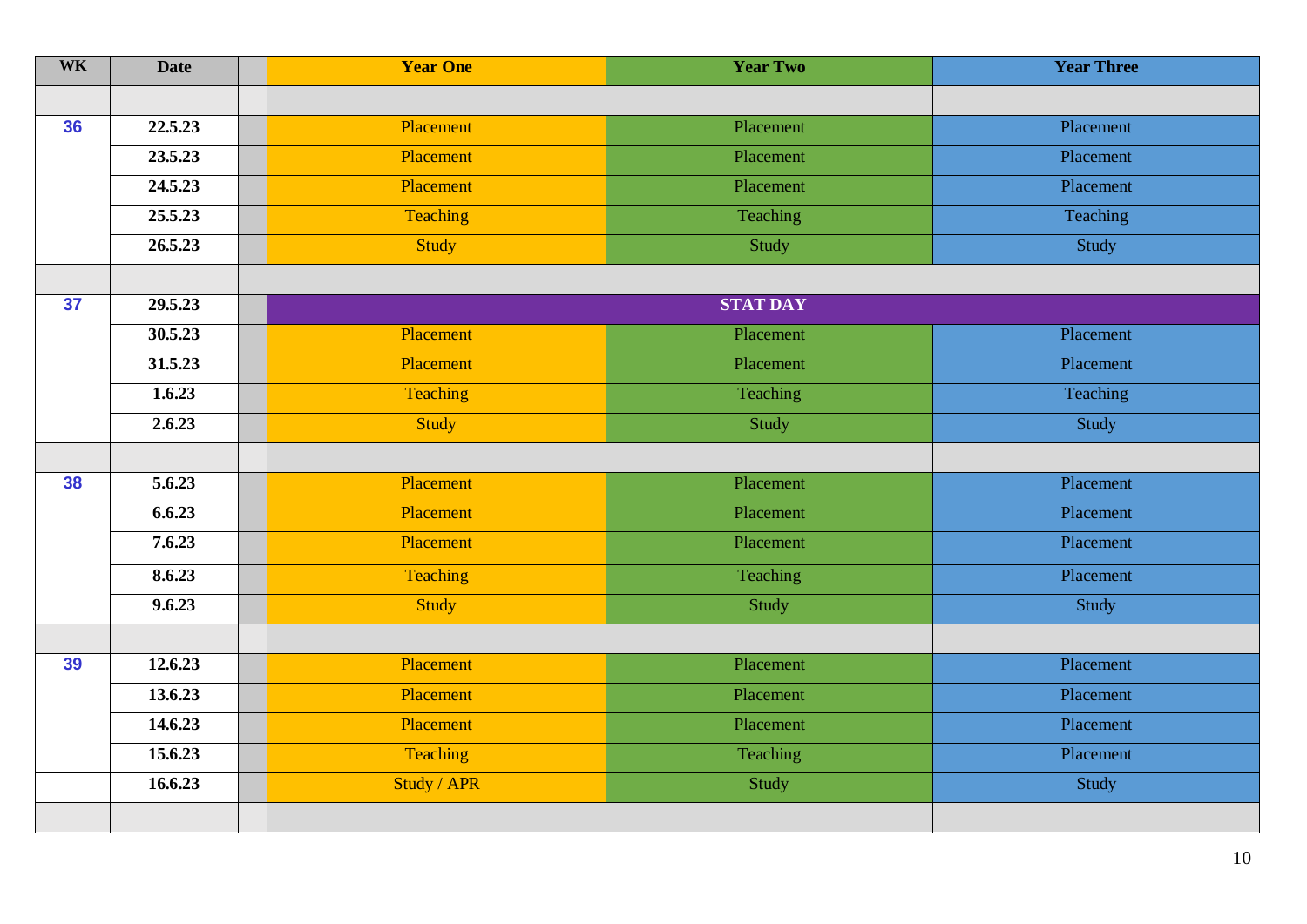| <b>WK</b> | <b>Date</b> | <b>Year One</b> | <b>Year Two</b> | <b>Year Three</b> |
|-----------|-------------|-----------------|-----------------|-------------------|
|           |             |                 |                 |                   |
| 36        | 22.5.23     | Placement       | Placement       | Placement         |
|           | 23.5.23     | Placement       | Placement       | Placement         |
|           | 24.5.23     | Placement       | Placement       | Placement         |
|           | 25.5.23     | Teaching        | Teaching        | Teaching          |
|           | 26.5.23     | Study           | Study           | Study             |
|           |             |                 |                 |                   |
| 37        | 29.5.23     |                 | <b>STAT DAY</b> |                   |
|           | 30.5.23     | Placement       | Placement       | Placement         |
|           | 31.5.23     | Placement       | Placement       | Placement         |
|           | 1.6.23      | Teaching        | Teaching        | Teaching          |
|           | 2.6.23      | Study           | Study           | Study             |
|           |             |                 |                 |                   |
| 38        | 5.6.23      | Placement       | Placement       | Placement         |
|           | 6.6.23      | Placement       | Placement       | Placement         |
|           | 7.6.23      | Placement       | Placement       | Placement         |
|           | 8.6.23      | Teaching        | Teaching        | Placement         |
|           | 9.6.23      | Study           | Study           | Study             |
|           |             |                 |                 |                   |
| 39        | 12.6.23     | Placement       | Placement       | Placement         |
|           | 13.6.23     | Placement       | Placement       | Placement         |
|           | 14.6.23     | Placement       | Placement       | Placement         |
|           | 15.6.23     | Teaching        | Teaching        | Placement         |
|           | 16.6.23     | Study / APR     | Study           | Study             |
|           |             |                 |                 |                   |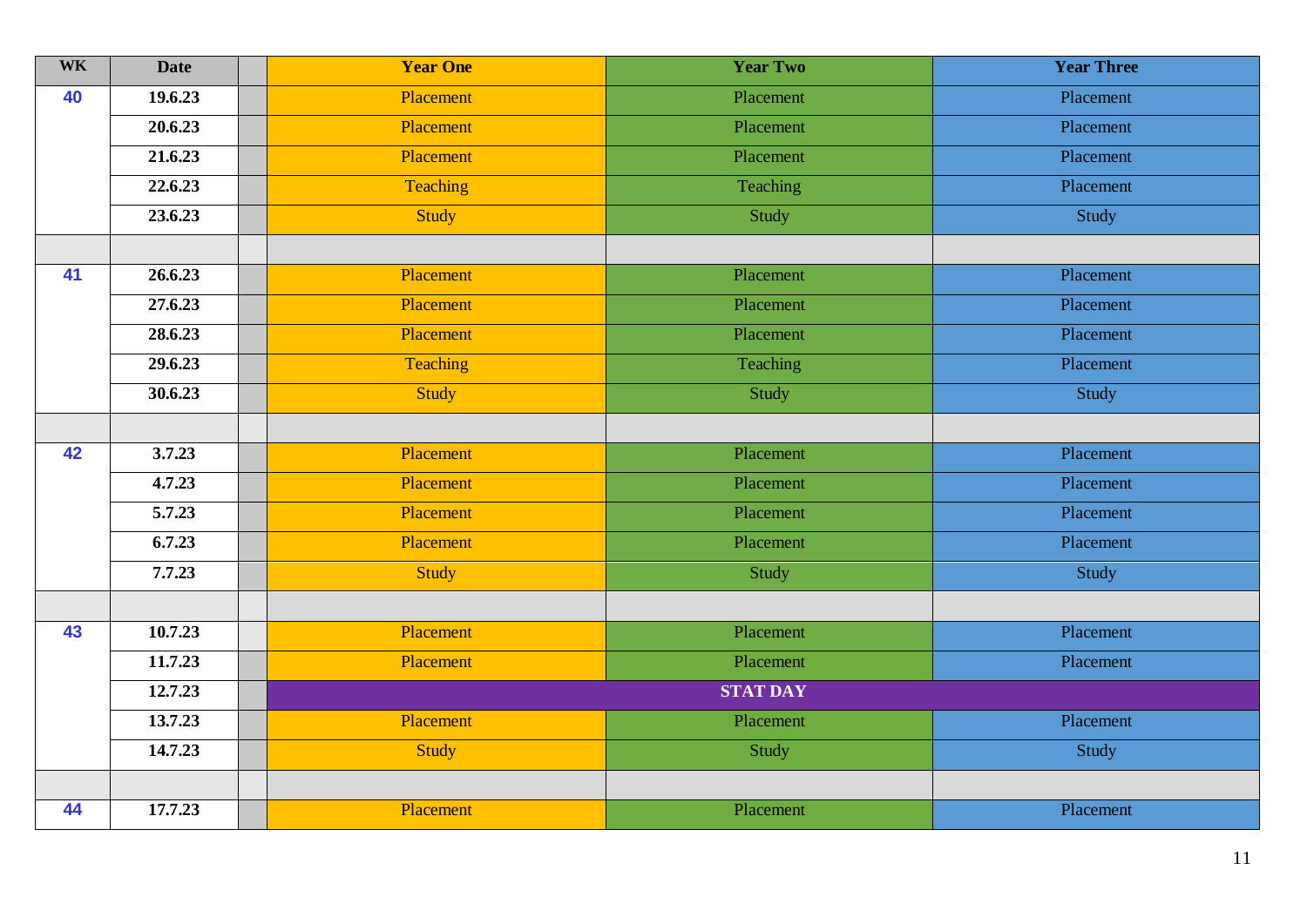| <b>WK</b> | <b>Date</b> | <b>Year One</b>  | <b>Year Two</b> | <b>Year Three</b> |
|-----------|-------------|------------------|-----------------|-------------------|
| 40        | 19.6.23     | <b>Placement</b> | Placement       | Placement         |
|           | 20.6.23     | Placement        | Placement       | Placement         |
|           | 21.6.23     | Placement        | Placement       | Placement         |
|           | 22.6.23     | Teaching         | Teaching        | Placement         |
|           | 23.6.23     | <b>Study</b>     | Study           | Study             |
|           |             |                  |                 |                   |
| 41        | 26.6.23     | Placement        | Placement       | Placement         |
|           | 27.6.23     | Placement        | Placement       | Placement         |
|           | 28.6.23     | Placement        | Placement       | Placement         |
|           | 29.6.23     | <b>Teaching</b>  | Teaching        | Placement         |
|           | 30.6.23     | Study            | Study           | Study             |
|           |             |                  |                 |                   |
| 42        | 3.7.23      | Placement        | Placement       | Placement         |
|           | 4.7.23      | Placement        | Placement       | Placement         |
|           | 5.7.23      | Placement        | Placement       | Placement         |
|           | 6.7.23      | Placement        | Placement       | Placement         |
|           | 7.7.23      | <b>Study</b>     | Study           | Study             |
|           |             |                  |                 |                   |
| 43        | 10.7.23     | Placement        | Placement       | Placement         |
|           | 11.7.23     | Placement        | Placement       | Placement         |
|           | 12.7.23     |                  | <b>STAT DAY</b> |                   |
|           | 13.7.23     | Placement        | Placement       | Placement         |
|           | 14.7.23     | <b>Study</b>     | Study           | Study             |
|           |             |                  |                 |                   |
| 44        | 17.7.23     | Placement        | Placement       | Placement         |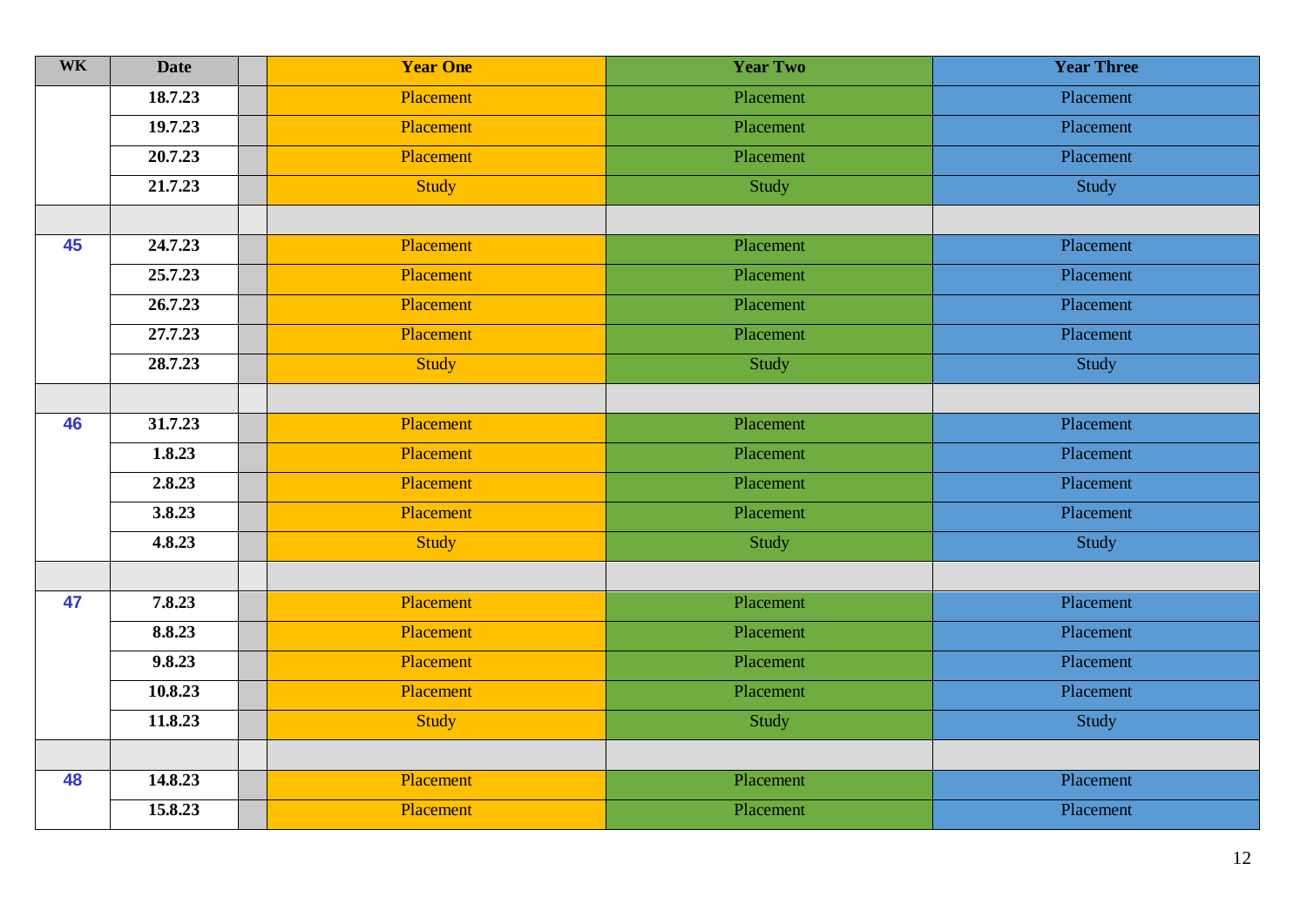| <b>WK</b> | <b>Date</b> | <b>Year One</b> | <b>Year Two</b> | <b>Year Three</b> |
|-----------|-------------|-----------------|-----------------|-------------------|
|           | 18.7.23     | Placement       | Placement       | Placement         |
|           | 19.7.23     | Placement       | Placement       | Placement         |
|           | 20.7.23     | Placement       | Placement       | Placement         |
|           | 21.7.23     | Study           | Study           | Study             |
|           |             |                 |                 |                   |
| 45        | 24.7.23     | Placement       | Placement       | Placement         |
|           | 25.7.23     | Placement       | Placement       | Placement         |
|           | 26.7.23     | Placement       | Placement       | Placement         |
|           | 27.7.23     | Placement       | Placement       | Placement         |
|           | 28.7.23     | Study           | Study           | Study             |
|           |             |                 |                 |                   |
| 46        | 31.7.23     | Placement       | Placement       | Placement         |
|           | 1.8.23      | Placement       | Placement       | Placement         |
|           | 2.8.23      | Placement       | Placement       | Placement         |
|           | 3.8.23      | Placement       | Placement       | Placement         |
|           | 4.8.23      | <b>Study</b>    | Study           | Study             |
|           |             |                 |                 |                   |
| 47        | 7.8.23      | Placement       | Placement       | Placement         |
|           | 8.8.23      | Placement       | Placement       | Placement         |
|           | 9.8.23      | Placement       | Placement       | Placement         |
|           | 10.8.23     | Placement       | Placement       | Placement         |
|           | 11.8.23     | <b>Study</b>    | Study           | Study             |
|           |             |                 |                 |                   |
| 48        | 14.8.23     | Placement       | Placement       | Placement         |
|           | 15.8.23     | Placement       | Placement       | Placement         |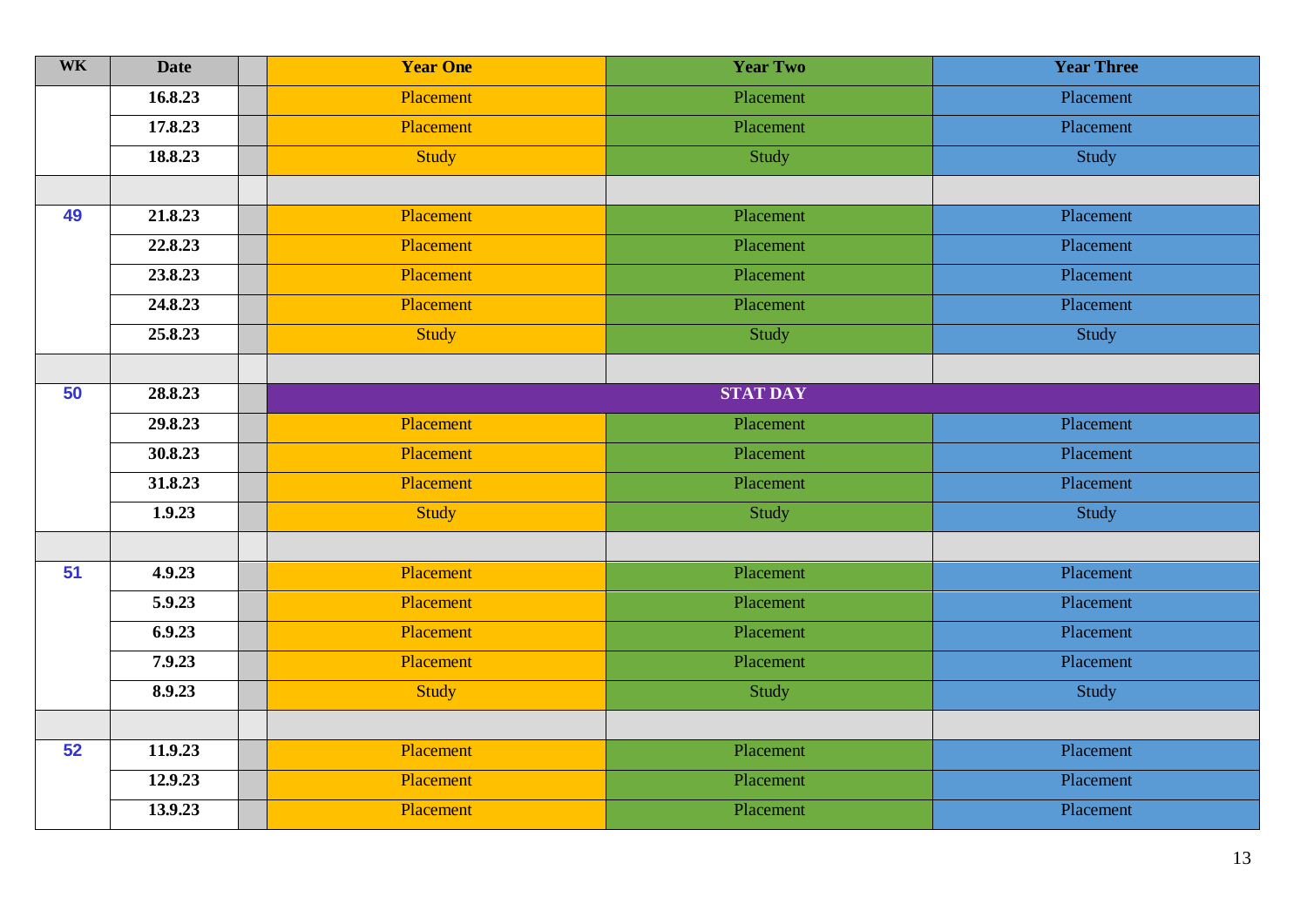| <b>WK</b> | <b>Date</b> | <b>Year One</b> | <b>Year Two</b> | <b>Year Three</b> |  |
|-----------|-------------|-----------------|-----------------|-------------------|--|
|           | 16.8.23     | Placement       | Placement       | Placement         |  |
|           | 17.8.23     | Placement       | Placement       | Placement         |  |
|           | 18.8.23     | Study           | Study           | Study             |  |
|           |             |                 |                 |                   |  |
| 49        | 21.8.23     | Placement       | Placement       | Placement         |  |
|           | 22.8.23     | Placement       | Placement       | Placement         |  |
|           | 23.8.23     | Placement       | Placement       | Placement         |  |
|           | 24.8.23     | Placement       | Placement       | Placement         |  |
|           | 25.8.23     | Study           | Study           | Study             |  |
|           |             |                 |                 |                   |  |
| 50        | 28.8.23     | <b>STAT DAY</b> |                 |                   |  |
|           | 29.8.23     | Placement       | Placement       | Placement         |  |
|           | 30.8.23     | Placement       | Placement       | Placement         |  |
|           | 31.8.23     | Placement       | Placement       | Placement         |  |
|           | 1.9.23      | Study           | Study           | Study             |  |
|           |             |                 |                 |                   |  |
| 51        | 4.9.23      | Placement       | Placement       | Placement         |  |
|           | 5.9.23      | Placement       | Placement       | Placement         |  |
|           | 6.9.23      | Placement       | Placement       | Placement         |  |
|           | 7.9.23      | Placement       | Placement       | Placement         |  |
|           | 8.9.23      | <b>Study</b>    | Study           | Study             |  |
|           |             |                 |                 |                   |  |
| 52        | 11.9.23     | Placement       | Placement       | Placement         |  |
|           | 12.9.23     | Placement       | Placement       | Placement         |  |
|           | 13.9.23     | Placement       | Placement       | Placement         |  |